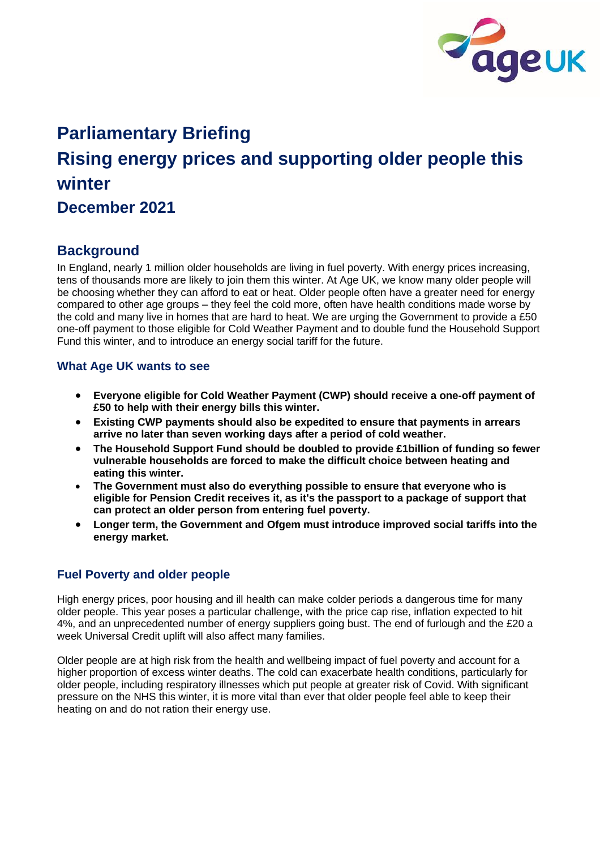

# **Parliamentary Briefing Rising energy prices and supporting older people this winter December 2021**

# **Background**

In England, nearly 1 million older households are living in fuel poverty. With energy prices increasing, tens of thousands more are likely to join them this winter. At Age UK, we know many older people will be choosing whether they can afford to eat or heat. Older people often have a greater need for energy compared to other age groups – they feel the cold more, often have health conditions made worse by the cold and many live in homes that are hard to heat. We are urging the Government to provide a £50 one-off payment to those eligible for Cold Weather Payment and to double fund the Household Support Fund this winter, and to introduce an energy social tariff for the future.

# **What Age UK wants to see**

- **Everyone eligible for Cold Weather Payment (CWP) should receive a one-off payment of £50 to help with their energy bills this winter.**
- **Existing CWP payments should also be expedited to ensure that payments in arrears arrive no later than seven working days after a period of cold weather.**
- **The Household Support Fund should be doubled to provide £1billion of funding so fewer vulnerable households are forced to make the difficult choice between heating and eating this winter.**
- **The Government must also do everything possible to ensure that everyone who is eligible for Pension Credit receives it, as it's the passport to a package of support that can protect an older person from entering fuel poverty.**
- **Longer term, the Government and Ofgem must introduce improved social tariffs into the energy market.**

## **Fuel Poverty and older people**

High energy prices, poor housing and ill health can make colder periods a dangerous time for many older people. This year poses a particular challenge, with the price cap rise, inflation expected to hit 4%, and an unprecedented number of energy suppliers going bust. The end of furlough and the £20 a week Universal Credit uplift will also affect many families.

Older people are at high risk from the health and wellbeing impact of fuel poverty and account for a higher proportion of excess winter deaths. The cold can exacerbate health conditions, particularly for older people, including respiratory illnesses which put people at greater risk of Covid. With significant pressure on the NHS this winter, it is more vital than ever that older people feel able to keep their heating on and do not ration their energy use.